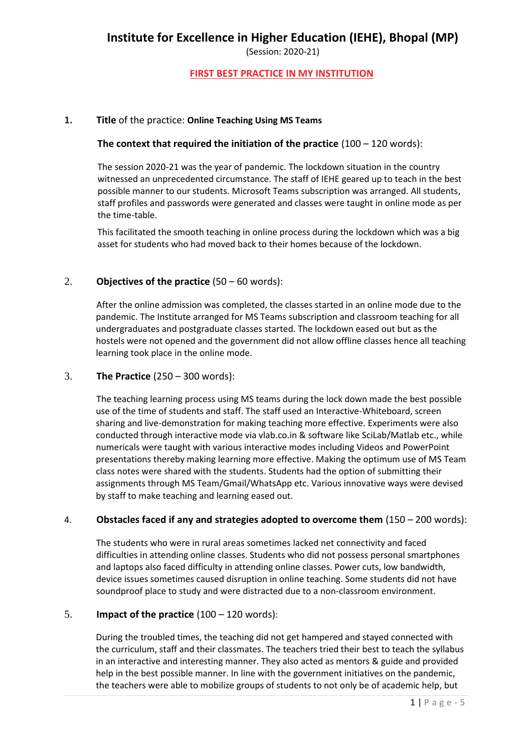(Session: 2020-21)

# **FIRST BEST PRACTICE IN MY INSTITUTION**

# **1. Title** of the practice: **Online Teaching Using MS Teams**

# **The context that required the initiation of the practice** (100 – 120 words):

The session 2020-21 was the year of pandemic. The lockdown situation in the country witnessed an unprecedented circumstance. The staff of IEHE geared up to teach in the best possible manner to our students. Microsoft Teams subscription was arranged. All students, staff profiles and passwords were generated and classes were taught in online mode as per the time-table.

This facilitated the smooth teaching in online process during the lockdown which was a big asset for students who had moved back to their homes because of the lockdown.

# 2. **Objectives of the practice** (50 – 60 words):

After the online admission was completed, the classes started in an online mode due to the pandemic. The Institute arranged for MS Teams subscription and classroom teaching for all undergraduates and postgraduate classes started. The lockdown eased out but as the hostels were not opened and the government did not allow offline classes hence all teaching learning took place in the online mode.

# 3. **The Practice** (250 – 300 words):

The teaching learning process using MS teams during the lock down made the best possible use of the time of students and staff. The staff used an Interactive-Whiteboard, screen sharing and live-demonstration for making teaching more effective. Experiments were also conducted through interactive mode via vlab.co.in & software like SciLab/Matlab etc., while numericals were taught with various interactive modes including Videos and PowerPoint presentations thereby making learning more effective. Making the optimum use of MS Team class notes were shared with the students. Students had the option of submitting their assignments through MS Team/Gmail/WhatsApp etc. Various innovative ways were devised by staff to make teaching and learning eased out.

#### 4. **Obstacles faced if any and strategies adopted to overcome them** (150 – 200 words):

The students who were in rural areas sometimes lacked net connectivity and faced difficulties in attending online classes. Students who did not possess personal smartphones and laptops also faced difficulty in attending online classes. Power cuts, low bandwidth, device issues sometimes caused disruption in online teaching. Some students did not have soundproof place to study and were distracted due to a non-classroom environment.

#### 5. **Impact of the practice** (100 – 120 words):

During the troubled times, the teaching did not get hampered and stayed connected with the curriculum, staff and their classmates. The teachers tried their best to teach the syllabus in an interactive and interesting manner. They also acted as mentors & guide and provided help in the best possible manner. In line with the government initiatives on the pandemic, the teachers were able to mobilize groups of students to not only be of academic help, but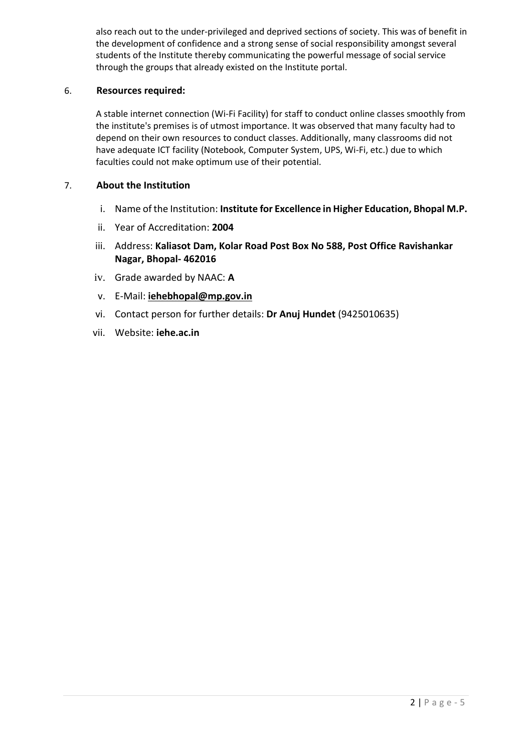also reach out to the under-privileged and deprived sections of society. This was of benefit in the development of confidence and a strong sense of social responsibility amongst several students of the Institute thereby communicating the powerful message of social service through the groups that already existed on the Institute portal.

# 6. **Resources required:**

A stable internet connection (Wi-Fi Facility) for staff to conduct online classes smoothly from the institute's premises is of utmost importance. It was observed that many faculty had to depend on their own resources to conduct classes. Additionally, many classrooms did not have adequate ICT facility (Notebook, Computer System, UPS, Wi-Fi, etc.) due to which faculties could not make optimum use of their potential.

## 7. **About the Institution**

- i. Name of the Institution: **Institute for Excellence in Higher Education, Bhopal M.P.**
- ii. Year of Accreditation: **2004**
- iii. Address: **Kaliasot Dam, Kolar Road Post Box No 588, Post Office Ravishankar Nagar, Bhopal- 462016**
- iv. Grade awarded by NAAC: **A**
- v. E-Mail: **[iehebhopal@mp.gov.in](mailto:iehebhopal@mp.gov.in)**
- vi. Contact person for further details: **Dr Anuj Hundet** (9425010635)
- vii. Website: **iehe.ac.in**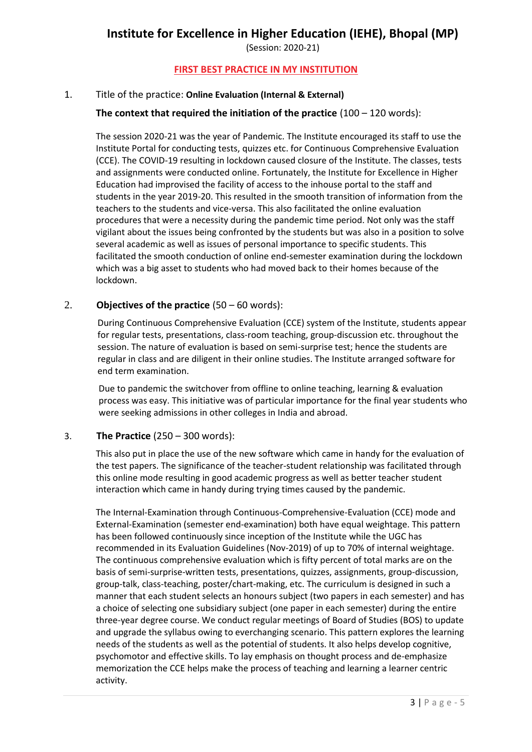(Session: 2020-21)

# **FIRST BEST PRACTICE IN MY INSTITUTION**

# 1. Title of the practice: **Online Evaluation (Internal & External)**

# **The context that required the initiation of the practice** (100 – 120 words):

The session 2020-21 was the year of Pandemic. The Institute encouraged its staff to use the Institute Portal for conducting tests, quizzes etc. for Continuous Comprehensive Evaluation (CCE). The COVID-19 resulting in lockdown caused closure of the Institute. The classes, tests and assignments were conducted online. Fortunately, the Institute for Excellence in Higher Education had improvised the facility of access to the inhouse portal to the staff and students in the year 2019-20. This resulted in the smooth transition of information from the teachers to the students and vice-versa. This also facilitated the online evaluation procedures that were a necessity during the pandemic time period. Not only was the staff vigilant about the issues being confronted by the students but was also in a position to solve several academic as well as issues of personal importance to specific students. This facilitated the smooth conduction of online end-semester examination during the lockdown which was a big asset to students who had moved back to their homes because of the lockdown.

### 2. **Objectives of the practice** (50 – 60 words):

During Continuous Comprehensive Evaluation (CCE) system of the Institute, students appear for regular tests, presentations, class-room teaching, group-discussion etc. throughout the session. The nature of evaluation is based on semi-surprise test; hence the students are regular in class and are diligent in their online studies. The Institute arranged software for end term examination.

Due to pandemic the switchover from offline to online teaching, learning & evaluation process was easy. This initiative was of particular importance for the final year students who were seeking admissions in other colleges in India and abroad.

#### 3. **The Practice** (250 – 300 words):

This also put in place the use of the new software which came in handy for the evaluation of the test papers. The significance of the teacher-student relationship was facilitated through this online mode resulting in good academic progress as well as better teacher student interaction which came in handy during trying times caused by the pandemic.

The Internal-Examination through Continuous-Comprehensive-Evaluation (CCE) mode and External-Examination (semester end-examination) both have equal weightage. This pattern has been followed continuously since inception of the Institute while the UGC has recommended in its Evaluation Guidelines (Nov-2019) of up to 70% of internal weightage. The continuous comprehensive evaluation which is fifty percent of total marks are on the basis of semi-surprise-written tests, presentations, quizzes, assignments, group-discussion, group-talk, class-teaching, poster/chart-making, etc. The curriculum is designed in such a manner that each student selects an honours subject (two papers in each semester) and has a choice of selecting one subsidiary subject (one paper in each semester) during the entire three-year degree course. We conduct regular meetings of Board of Studies (BOS) to update and upgrade the syllabus owing to everchanging scenario. This pattern explores the learning needs of the students as well as the potential of students. It also helps develop cognitive, psychomotor and effective skills. To lay emphasis on thought process and de-emphasize memorization the CCE helps make the process of teaching and learning a learner centric activity.